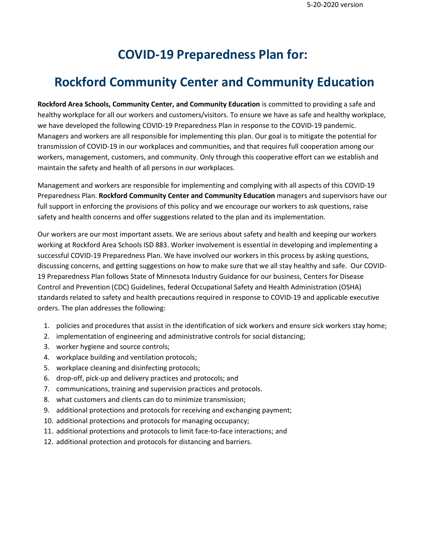# **COVID-19 Preparedness Plan for:**

# **Rockford Community Center and Community Education**

**Rockford Area Schools, Community Center, and Community Education** is committed to providing a safe and healthy workplace for all our workers and customers/visitors. To ensure we have as safe and healthy workplace, we have developed the following COVID-19 Preparedness Plan in response to the COVID-19 pandemic. Managers and workers are all responsible for implementing this plan. Our goal is to mitigate the potential for transmission of COVID-19 in our workplaces and communities, and that requires full cooperation among our workers, management, customers, and community. Only through this cooperative effort can we establish and maintain the safety and health of all persons in our workplaces.

Management and workers are responsible for implementing and complying with all aspects of this COVID-19 Preparedness Plan. **Rockford Community Center and Community Education** managers and supervisors have our full support in enforcing the provisions of this policy and we encourage our workers to ask questions, raise safety and health concerns and offer suggestions related to the plan and its implementation.

Our workers are our most important assets. We are serious about safety and health and keeping our workers working at Rockford Area Schools ISD 883. Worker involvement is essential in developing and implementing a successful COVID-19 Preparedness Plan. We have involved our workers in this process by asking questions, discussing concerns, and getting suggestions on how to make sure that we all stay healthy and safe. Our COVID-19 Preparedness Plan follows State of Minnesota Industry Guidance for our business, Centers for Disease Control and Prevention (CDC) Guidelines, federal Occupational Safety and Health Administration (OSHA) standards related to safety and health precautions required in response to COVID-19 and applicable executive orders. The plan addresses the following:

- 1. policies and procedures that assist in the identification of sick workers and ensure sick workers stay home;
- 2. implementation of engineering and administrative controls for social distancing;
- 3. worker hygiene and source controls;
- 4. workplace building and ventilation protocols;
- 5. workplace cleaning and disinfecting protocols;
- 6. drop-off, pick-up and delivery practices and protocols; and
- 7. communications, training and supervision practices and protocols.
- 8. what customers and clients can do to minimize transmission;
- 9. additional protections and protocols for receiving and exchanging payment;
- 10. additional protections and protocols for managing occupancy;
- 11. additional protections and protocols to limit face-to-face interactions; and
- 12. additional protection and protocols for distancing and barriers.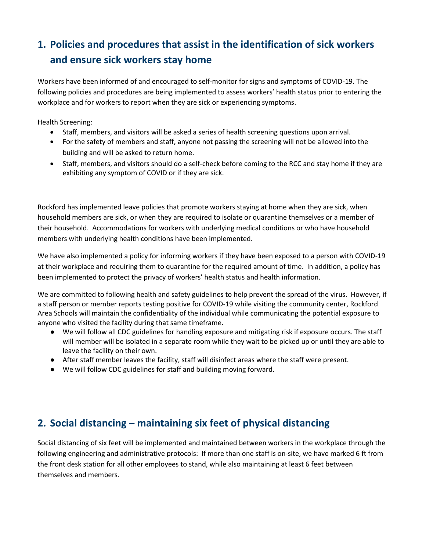## **1. Policies and procedures that assist in the identification of sick workers and ensure sick workers stay home**

Workers have been informed of and encouraged to self-monitor for signs and symptoms of COVID-19. The following policies and procedures are being implemented to assess workers' health status prior to entering the workplace and for workers to report when they are sick or experiencing symptoms.

Health Screening:

- Staff, members, and visitors will be asked a series of health screening questions upon arrival.
- For the safety of members and staff, anyone not passing the screening will not be allowed into the building and will be asked to return home.
- Staff, members, and visitors should do a self-check before coming to the RCC and stay home if they are exhibiting any symptom of COVID or if they are sick.

Rockford has implemented leave policies that promote workers staying at home when they are sick, when household members are sick, or when they are required to isolate or quarantine themselves or a member of their household. Accommodations for workers with underlying medical conditions or who have household members with underlying health conditions have been implemented.

We have also implemented a policy for informing workers if they have been exposed to a person with COVID-19 at their workplace and requiring them to quarantine for the required amount of time. In addition, a policy has been implemented to protect the privacy of workers' health status and health information.

We are committed to following health and safety guidelines to help prevent the spread of the virus. However, if a staff person or member reports testing positive for COVID-19 while visiting the community center, Rockford Area Schools will maintain the confidentiality of the individual while communicating the potential exposure to anyone who visited the facility during that same timeframe.

- We will follow all CDC guidelines for handling exposure and mitigating risk if exposure occurs. The staff will member will be isolated in a separate room while they wait to be picked up or until they are able to leave the facility on their own.
- After staff member leaves the facility, staff will disinfect areas where the staff were present.
- We will follow CDC guidelines for staff and building moving forward.

## **2. Social distancing – maintaining six feet of physical distancing**

Social distancing of six feet will be implemented and maintained between workers in the workplace through the following engineering and administrative protocols: If more than one staff is on-site, we have marked 6 ft from the front desk station for all other employees to stand, while also maintaining at least 6 feet between themselves and members.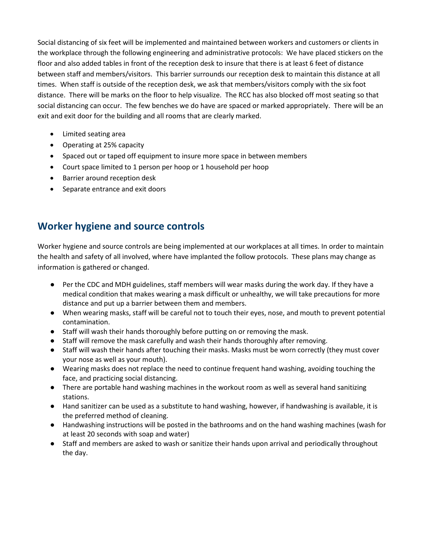Social distancing of six feet will be implemented and maintained between workers and customers or clients in the workplace through the following engineering and administrative protocols: We have placed stickers on the floor and also added tables in front of the reception desk to insure that there is at least 6 feet of distance between staff and members/visitors. This barrier surrounds our reception desk to maintain this distance at all times. When staff is outside of the reception desk, we ask that members/visitors comply with the six foot distance. There will be marks on the floor to help visualize. The RCC has also blocked off most seating so that social distancing can occur. The few benches we do have are spaced or marked appropriately. There will be an exit and exit door for the building and all rooms that are clearly marked.

- Limited seating area
- Operating at 25% capacity
- Spaced out or taped off equipment to insure more space in between members
- Court space limited to 1 person per hoop or 1 household per hoop
- Barrier around reception desk
- Separate entrance and exit doors

#### **Worker hygiene and source controls**

Worker hygiene and source controls are being implemented at our workplaces at all times. In order to maintain the health and safety of all involved, where have implanted the follow protocols. These plans may change as information is gathered or changed.

- Per the CDC and MDH guidelines, staff members will wear masks during the work day. If they have a medical condition that makes wearing a mask difficult or unhealthy, we will take precautions for more distance and put up a barrier between them and members.
- When wearing masks, staff will be careful not to touch their eyes, nose, and mouth to prevent potential contamination.
- Staff will wash their hands thoroughly before putting on or removing the mask.
- Staff will remove the mask carefully and wash their hands thoroughly after removing.
- Staff will wash their hands after touching their masks. Masks must be worn correctly (they must cover your nose as well as your mouth).
- Wearing masks does not replace the need to continue frequent hand washing, avoiding touching the face, and practicing social distancing.
- There are portable hand washing machines in the workout room as well as several hand sanitizing stations.
- Hand sanitizer can be used as a substitute to hand washing, however, if handwashing is available, it is the preferred method of cleaning.
- Handwashing instructions will be posted in the bathrooms and on the hand washing machines (wash for at least 20 seconds with soap and water)
- Staff and members are asked to wash or sanitize their hands upon arrival and periodically throughout the day.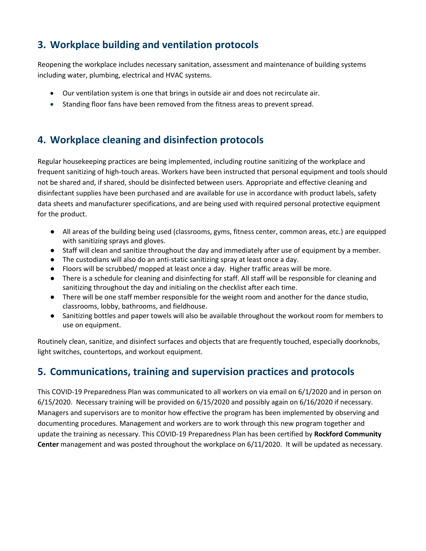## **3. Workplace building and ventilation protocols**

Reopening the workplace includes necessary sanitation, assessment and maintenance of building systems including water, plumbing, electrical and HVAC systems.

- Our ventilation system is one that brings in outside air and does not recirculate air.
- Standing floor fans have been removed from the fitness areas to prevent spread.

#### **4. Workplace cleaning and disinfection protocols**

Regular housekeeping practices are being implemented, including routine sanitizing of the workplace and frequent sanitizing of high-touch areas. Workers have been instructed that personal equipment and tools should not be shared and, if shared, should be disinfected between users. Appropriate and effective cleaning and disinfectant supplies have been purchased and are available for use in accordance with product labels, safety data sheets and manufacturer specifications, and are being used with required personal protective equipment for the product.

- All areas of the building being used (classrooms, gyms, fitness center, common areas, etc.) are equipped with sanitizing sprays and gloves.
- Staff will clean and sanitize throughout the day and immediately after use of equipment by a member.
- The custodians will also do an anti-static sanitizing spray at least once a day.
- Floors will be scrubbed/ mopped at least once a day. Higher traffic areas will be more.
- There is a schedule for cleaning and disinfecting for staff. All staff will be responsible for cleaning and sanitizing throughout the day and initialing on the checklist after each time.
- There will be one staff member responsible for the weight room and another for the dance studio, classrooms, lobby, bathrooms, and fieldhouse.
- Sanitizing bottles and paper towels will also be available throughout the workout room for members to use on equipment.

Routinely clean, sanitize, and disinfect surfaces and objects that are frequently touched, especially doorknobs, light switches, countertops, and workout equipment.

#### **5. Communications, training and supervision practices and protocols**

This COVID-19 Preparedness Plan was communicated to all workers on via email on 6/1/2020 and in person on 6/15/2020. Necessary training will be provided on 6/15/2020 and possibly again on 6/16/2020 if necessary. Managers and supervisors are to monitor how effective the program has been implemented by observing and documenting procedures. Management and workers are to work through this new program together and update the training as necessary. This COVID-19 Preparedness Plan has been certified by **Rockford Community Center** management and was posted throughout the workplace on 6/11/2020. It will be updated as necessary.